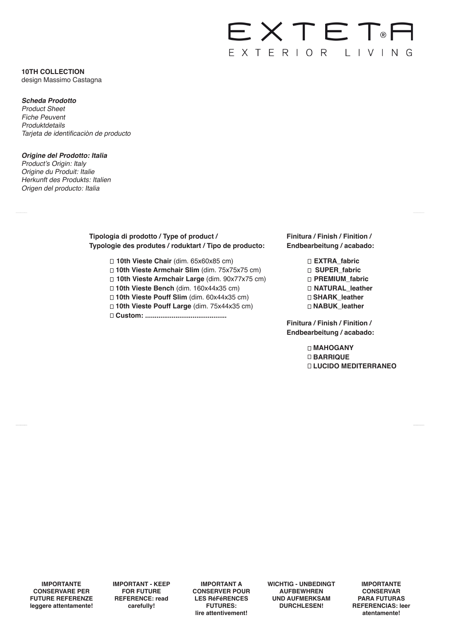# EXTET<sup>®</sup> EXTERIOR LIVING

# **10TH COLLECTION** design Massimo Castagna

# **Scheda Prodotto**

Product Sheet Fiche Peuvent Produktdetails Tarjeta de identificaciòn de producto

# **Origine del Prodotto: Italia**

Product's Origin: Italy Origine du Produit: Italie Herkunft des Produkts: Italien Origen del producto: Italia

# **Tipologia di prodotto / Type of product / Typologie des produtes / roduktart / Tipo de producto:**

- **10th Vieste Chair** (dim. 65x60x85 cm)
- **10th Vieste Armchair Slim** (dim. 75x75x75 cm)
- **10th Vieste Armchair Large** (dim. 90x77x75 cm)
- **10th Vieste Bench** (dim. 160x44x35 cm)
- **10th Vieste Pouff Slim** (dim. 60x44x35 cm)
- **10th Vieste Pouff Large** (dim. 75x44x35 cm)
- **Custom: ...........................................**

# **Finitura / Finish / Finition / Endbearbeitung / acabado:**

**EXTRA\_fabric SUPER\_fabric PREMIUM\_fabric NATURAL\_leather SHARK\_leather NABUK\_leather**

**Finitura / Finish / Finition / Endbearbeitung / acabado:** 

> **MAHOGANY BARRIQUE LUCIDO MEDITERRANEO**

**IMPORTANTE CONSERVARE PER FUTURE REFERENZE leggere attentamente!** **IMPORTANT - KEEP FOR FUTURE REFERENCE: read carefully!**

**IMPORTANT A CONSERVER POUR LES RéFéRENCES FUTURES: lire attentivement!**

**WICHTIG - UNBEDINGT AUFBEWHREN UND AUFMERKSAM DURCHLESEN!**

**IMPORTANTE CONSERVAR PARA FUTURAS REFERENCIAS: leer atentamente!**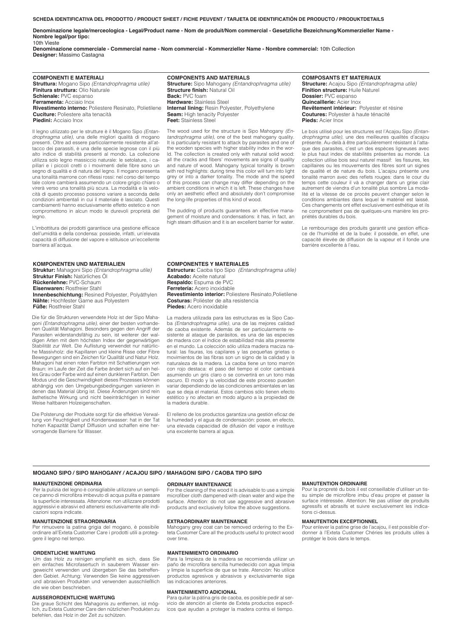**SCHEDA IDENTIFICATIVA DEL PRODOTTO / PRODUCT SHEET / FICHE PEUVENT / TARJETA DE IDENTIFICATIÓN DE PRODUCTO / PRODUKTDETAILS**

**Denominazione legale/merceologica - Legal/Product name - Nom de produit/Nom commercial - Gesetzliche Bezeichnung/Kommerzieller Name - Nombre legal/por tipo:** 10th Vieste

**Denominazione commerciale - Commercial name - Nom commercial - Kommerzieller Name - Nombre commercial:** 10th Collection **Designer:** Massimo Castagna

**COMPONENTI E MATERIALI Struttura:** Mogano Sipo *(Entandrophragma utile)* **Finitura struttura:** Olio Naturale **Schienale:** PVC espanso **Ferramenta:** Acciaio Inox **Rivestimento interno:** Poliestere Resinato, Polietilene **Cuciture:** Poliestere alta tenacità **Piedini:** Acciaio Inox

Il legno utilizzato per le strutture è il Mogano Sipo *(Entandrophragma utile)*, una delle migliori qualità di mogano presenti. Oltre ad essere particolarmente resistente all'attacco dei parassiti, è una delle specie legnose con il più alto indice di stabilità presenti al mondo. La collezione utilizza solo legno massiccio naturale: le setolature, i ca-pillari e i piccoli cretti o i movimenti delle fibre sono un segno di qualità e di natura del legno. Il mogano presenta una tonalità marrone con riflessi rossi: nel corso del tempo tale colore cambierà assumendo un colore grigio chiaro o virerà verso una tonalità più scura. La modalità e la velocità di questo processo possono variare a seconda delle condizioni ambientali in cui il materiale è lasciato. Questi cambiamenti hanno esclusivamente effetto estetico e non compromettono in alcun modo le durevoli proprietà del legno.

L'imbottitura dei prodotti garantisce una gestione efficace dell'umidità e della condensa: possiede, infatti, un'elevata capacità di diffusione del vapore e istituisce un'eccellente barriera all'acqua.

#### **KOMPONENTEN UND MATERIALIEN**

**Struktur:** Mahagoni Sipo *(Entandrophragma utile)* **Struktur Finish:** Natürliches Öl **Rückenlehne:** PVC-Schaum **Eisenwaren:** Rostfreier Stahl **Innenbeschichtung:** Resined Polyester, Polyäthylen **Nähte:** Hochfester Garne aus Polyestern **Füße:** Rostfreier Stahl

Die für die Strukturen verwendete Holz ist der Sipo Mahagoni *(Entandrophragma utile)*, einer der besten vorhandenen Qualität Mahagoni. Besonders gegen den Angriff der Parasiten widerstandsfähig zu sein, ist weiterer der wal-digen Arten mit dem höchsten Index der gegenwärtigen Stabilität zur Welt. Die Auflistung verwendet nur natürlic-he Massivholz: die Kapillaren und kleine Risse oder Fibre Bewegungen sind ein Zeichen für Qualität und Natur Holz. Mahagoni hat einen roten Farbton mit Schattierungen von Braun: im Laufe der Zeit die Farbe ändert sich auf ein helles Grau oder Farbe wird auf einen dunkleren Farbton. Den Modus und die Geschwindigkeit dieses Prozesses können abhängig von den Umgebungsbedingungen variieren in denen das Material übrig ist. Diese Änderungen sind rein ästhetische Wirkung und nicht beeinträchtigen in keiner Weise haltbaren Holzeigenschaften.

Die Polsterung der Produkte sorgt für die effektive Verwaltung von Feuchtigkeit und Kondenswasser: hat in der Tat hohen Kapazität Dampf Diffusion und schaffen eine hervorragende Barriere für Wasser.

**COMPONENTS AND MATERIALS Structure:** Sipo Mahogany *(Entandrophragma utile)* **Structure finish:** Natural Oil **Back:** PVC foam **Hardware:** Stainless Steel **Internal lining:** Resin Polyester, Polyethylene **Seam:** High tenacity Polyester **Feet:** Stainless Steel

The wood used for the structure is Sipo Mahogany *(Entandrophragma utile)*, one of the best mahogany quality. It is particularly resistant to attack by parasites and one of the wooden species with higher stability index in the world. The collection is created only with natural solid wood: all the cracks and fibers' movements are signs of quality and nature of wood. Mahogany typical tonality is brown with red highlights: during time this color will turn into light grey or into a darker tonality. The mode and the speed of this process can change may differ depending on the ambient conditions in which it is left. These changes have only an aesthetic effect and absolutely don't compromise the long-life properties of this kind of wood.

The pudding of products guarantees an effective management of moisture and condensations: it has, in fact, an high steam diffusion and it is an excellent barrier for water.

#### **COMPONENTES Y MATERIALES**

**Estructura:** Caoba tipo Sipo *(Entandrophragma utile)* **Acabado:** Aceite natural **Respaldo:** Espuma de PVC **Ferretería:** Acero inoxidable **Revestimiento interior:** Poliestere Resinato,Polietilene **Costuras:** Poliéster de alta resistencia **Piedes:** Acero inoxidable

La madera utilizada para las estructuras es la Sipo Cao-ba *(Entandrophragma utile)*, una de las mejores calidad de caoba existente. Además de ser particularmente resistente al ataque de parásitos, es una de las especies de madera con el índice de estabilidad más alta presente en el mundo. La colección sólo utiliza madera maciza natural: las fisuras, los capilares y las pequeñas grietas o movimientos de las fibras son un signo de la calidad y la naturaleza de la madera. La caoba tiene un tono marrón con rojo destaca: el paso del tiempo el color cambiará asumiendo un gris claro o se convertirá en un tono más oscuro. El modo y la velocidad de este proceso pueden variar dependiendo de las condiciones ambientales en las que se deja el material. Estos cambios sólo tienen efecto estético y no afectan en modo alguno a la propiedad de la madera durable.

El relleno de los productos garantiza una gestión eficaz de la humedad y el agua de condensación: posee, en efecto, una elevada capacidad de difusión del vapor e instituye una excelente barrera al agua.

#### **MOGANO SIPO / SIPO MAHOGANY / ACAJOU SIPO / MAHAGONI SIPO / CAOBA TIPO SIPO**

#### **MANUTENZIONE ORDINARIA**

Per la pulizia del legno è consigliabile utilizzare un semplice panno di microfibra imbevuto di acqua pulita e passare la superficie interessata. Attenzione: non utilizzare prodotti aggressivi e abrasivi ed attenersi esclusivamente alle indicazioni sopra indicate.

#### **MANUTENZIONE STRAORDINARIA**

Per rimuovere la patina grigia del mogano, è possibile ordinare all'Exteta Customer Care i prodotti utili a proteggere il legno nel tempo.

#### **ORDENTLICHE WARTUNG**

Um das Holz zu reinigen empfiehlt es sich, dass Sie ein einfaches Microfasertuch in sauberem Wasser ein-geweicht verwenden und übergeben Sie das betreffenden Gebiet. Achtung: Verwenden Sie keine aggressiven und abrasiven Produkten und verwenden ausschließlich die wie oben beschrieben.

#### **AUSSERORDENTLICHE WARTUNG**

Die graue Schicht des Mahagonis zu entfernen, ist möglich, zu Exteta Customer Care den nützlichen Produkten zu befehlen, das Holz in der Zeit zu schützen.

#### **ORDINARY MAINTENANCE**

For the cleaning of the wood it is advisable to use a simple microfiber cloth dampened with clean water and wipe the surface. Attention: do not use aggressive and abrasive products and exclusively follow the above suggestions.

#### **EXTRAORDINARY MAINTENANCE**

Mahogany grey coat can be removed ordering to the Exteta Customer Care all the products useful to protect wood over time.

#### **MANTENIMIENTO ORDINARIO**

Para la limpieza de la madera se recomienda utilizar un paño de microfibra sencilla humedecido con agua limpia y limpie la superficie de que se trate. Atenciòn: No utilice productos agresivos y abrasivos y exclusivamente siga las indicaciones anteriores.

#### **MANTENIMIENTO ADICIONAL**

Para quitar la pátina gris de caoba, es posible pedir al servicio de atención al cliente de Exteta productos específicos que ayudan a proteger la madera contra el tiempo.

#### **MANUTENTION ORDINAIRE**

Pour la propreté du bois il est conseillable d'utiliser un tissu simple de microfibre imbu d'eau propre et passer la surface intéressée. Attention: Ne pas utiliser de produits agressifs et abrasifs et suivre exclusivement les indications ci-dessus.

#### **MANUTENTION EXCEPTIONNEL**

Pour enlever la patine grise de l'acajou, il est possible d'ordonner à l'Exteta Customer Chéries les produits utiles à protéger le bois dans le temps.

**COMPOSANTS ET MATERIAUX Structure:** Acajou Sipo *(Entandrophragma utile)* **Finition structure:** Huile Naturel **Dossier:** PVC espanso **Quincaillerie:** Acier Inox **Revêtement intérieur:** Polyester et résine **Coutures:** Polyester à haute ténacité **Pieds:** Acier Inox

Le bois utilisé pour les structures est l'Acajou Sipo *(Entandrophragma utile)*, une des meilleures qualités d'acajou présente. Au-delà à être particulièrement résistant à l'attaque des parasites, c'est un des espèces ligneuses avec le plus haut index de stabilités présentes au monde. La collection utilise bois seul naturel massif: les fissures, les capillaires ou les mouvements des fibres sont un signes de qualité et de nature du bois. L'acajou présente une tonalité marron avec des reflets rouges: dans le cour du temps cette couleur il và a changer dans un grise clair autrement de viendra d'un tonalité plus sombre La modalité et la vitesse de ce procès peuvent changer selon le conditions ambiantes dans lequel le matériel est laissé. Ces changements ont effet exclusivement esthétique et ils ne compromettent pas de quelques-uns manière les propriétés durables du bois.

Le rembourrage des produits garantit une gestion effica-ce de l'humidité et de la buée: il possède, en effet, une capacité élevée de diffusion de la vapeur et il fonde une barrière excellente à l'eau.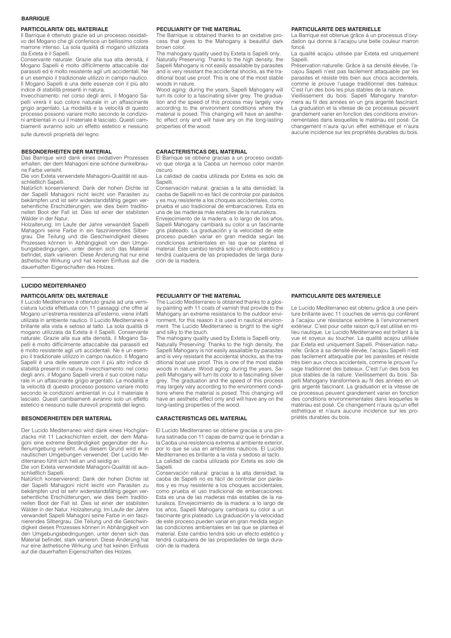#### **BARRIQUE**

#### **PARTICOLARITA' DEL MATERIALE**

Il Barrique è ottenuto grazie ad un processo ossidativo del Mogano che gli conferisce un bellissimo colore marrone intenso. La sola qualità di mogano utilizzata da Exteta è il Sapelli.

Conservante naturale: Grazie alla sua alta densità, il Mogano Sapelli è molto difficilmente attaccabile dai parassiti ed è molto resistente agli urti accidentali. Ne è un esempio il tradizionale utilizzo in campo nautico. Il Mogano Sapelli è una delle essenze con il più alto indice di stabilità presenti in natura.

Invecchiamento: nel corso degli anni, il Mogano Sapelli virerà il suo colore naturale in un affascinante grigio argentato. La modalità e la velocità di questo processo possono variare molto secondo le condizioni ambientali in cui il materiale è lasciato. Questi cambiamenti avranno solo un effetto estetico e nessuno sulle durevoli proprietà del legno.

# **BESONDERHEITEN DER MATERIAL**

Das Barrique wird dank eines oxidativen Prozesses erhalten, der dem Mahagoni eine schöne dunkelbraune Farbe verleiht.

Die von Exteta verwendete Mahagoni-Qualität ist ausschließlich Sapelli.

Natürlich konservierend: Dank der hohen Dichte ist der Sapelli Mahagoni nicht leicht von Parasiten zu bekämpfen und ist sehr widerstandsfähig gegen versehentliche Erschütterungen, wie dies beim traditionellen Boot der Fall ist. Dies ist einer der stabilsten Wälder in der Natur.

Holzalterung: Im Laufe der Jahre verwandelt Sapelli Mahagoni seine Farbe in ein faszinierendes Silbergrau. Die Teilung und die Geschwindigkeit dieses Prozesses können in Abhängigkeit von den Umgebungsbedingungen, unter denen sich das Material befindet, stark variieren. Diese Änderung hat nur eine ästhetische Wirkung und hat keinen Einfluss auf die dauerhaften Eigenschaften des Holzes.

#### **PECULIARITY OF THE MATERIAL**

The Barrique is obtained thanks to an oxidative process that gives to the Mahogany a beautiful dark brown color.

The mahogany quality used by Exteta is Sapelli only. Naturally Preserving: Thanks to the high density, the Sapelli Mahogany is not easily assailable by parasites and is very resistant the accidental shocks, as the traditional boat use proof. This is one of the most stable woods in nature.

Wood aging: during the years, Sapelli Mahogany will turn its color to a fascinating silver grey. The graduation and the speed of this process may largely vary according to the environment conditions where the material is posed. This changing will have an aesthetic effect only and will have any on the long-lasting properties of the wood.

#### **CARACTERISTICAS DEL MATERIAL**

El Barrique se obtiene gracias a un proceso oxidativo que otorga a la Caoba un hermoso color marrón oscuro.

La calidad de caoba utilizada por Exteta es solo de Sapelli.

Conservación natural: gracias a la alta densidad, la caoba de Sapelli no es fácil de controlar por parásitos y es muy resistente a los choques accidentales, como prueba el uso tradicional de embarcaciones. Esta es .<br>una de las maderas más estables de la naturaleza. Envejecimiento de la madera: a lo largo de los años,

Sapelli Mahogany cambiará su color a un fascinante gris plateado. La graduación y la velocidad de este proceso pueden variar en gran medida según las condiciones ambientales en las que se plantea el material. Este cambio tendrá solo un efecto estético y tendrá cualquiera de las propiedades de larga duración de la madera.

#### **PARTICULARITE DES MATERIELLE**

La Barrique est obtenue grâce à un processus d'oxydation qui donne à l'acajou une belle couleur marron foncé

La qualité acajou utilisée par Exteta est uniquement Sapelli.

Préservation naturelle: Grâce à sa densité élevée, l'acajou Sapelli n'est pas facilement attaquable par les parasites et résiste très bien aux chocs accidentels, comme le prouve l'usage traditionnel des bateaux. C'est l'un des bois les plus stables de la nature.

Vieillissement du bois: Sapelli Mahogany transformera au fil des années en un gris argenté fascinant. La graduation et la vitesse de ce processus peuvent grandement varier en fonction des conditions environnementales dans lesquelles le matériau est posé. Ce changement n'aura qu'un effet esthétique et n'aura aucune incidence sur les propriétés durables du bois.

### **LUCIDO MEDITERRANEO**

#### **PARTICOLARITA' DEL MATERIALE**

Il Lucido Mediterraneo è ottenuto grazie ad una verniciatura lucida effettuata con 11 passaggi che offre al Mogano un'estrema resistenza all'esterno, viene infatti utilizata in ambiente nautico. Il Lucido Mediterraneo è brillante alla vista e setoso al tatto. La sola qualità di mogano utilizzata da Exteta è il Sapelli. Conservante naturale: Grazie alla sua alta densità, il Mogano Sapelli è molto difficilmente attaccabile dai parassiti ed è molto resistente agli urti accidentali. Ne è un esempio il tradizionale utilizzo in campo nautico. Il Mogano Sapelli è una delle essenze con il più alto indice di stabilità presenti in natura. Invecchiamento: nel corso degli anni, il Mogano Sapelli virerà il suo colore naturale in un affascinante grigio argentato. La modalità e la velocità di questo processo possono variare molto secondo le condizioni ambientali in cui il materiale è lasciato. Questi cambiamenti avranno solo un effetto estetico e nessuno sulle durevoli proprietà del legno.

#### **BESONDERHEITEN DER MATERIAL**

Der Lucido Mediterraneo wird dank eines Hochglanzlacks mit 11 Lackschichten erzielt, der dem Mahagoni eine extreme Beständigkeit gegenüber der Außenumgebung verleiht. Aus diesem Grund wird er in nautischen Umgebungen verwendet. Der Lucido Mediterraneo fühlt sich hell an und seidig an.

Die von Exteta verwendete Mahagoni-Qualität ist ausschließlich Sapelli.

Natürlich konservierend: Dank der hohen Dichte ist der Sapelli Mahagoni nicht leicht von Parasiten zu bekämpfen und ist sehr widerstandsfähig gegen versehentliche Erschütterungen, wie dies beim traditionellen Boot der Fall ist. Dies ist einer der stabilsten Wälder in der Natur. Holzalterung: Im Laufe der Jahre verwandelt Sapelli Mahagoni seine Farbe in ein faszinierendes Silbergrau. Die Teilung und die Geschwindigkeit dieses Prozesses können in Abhängigkeit von den Umgebungsbedingungen, unter denen sich das Material befindet, stark variieren. Diese Änderung hat nur eine ästhetische Wirkung und hat keinen Einfluss auf die dauerhaften Eigenschaften des Holzes.

#### **PECULIARITY OF THE MATERIAL**

The Lucido Mediterraneo is obtained thanks to a glossy painting with 11 coats of varnish that provide to the Mahogany an extreme resistance to the outdoor environment, for this reason it is used in nautical environment. The Lucido Mediterraneo is bright to the sight and silky to the touch.

The mahogany quality used by Exteta is Sapelli only. Naturally Preserving: Thanks to the high density, the Sapelli Mahogany is not easily assailable by parasites and is very resistant the accidental shocks, as the traditional boat use proof. This is one of the most stable woods in nature. Wood aging: during the years, Sapelli Mahogany will turn its color to a fascinating silver grey. The graduation and the speed of this process may largely vary according to the environment conditions where the material is posed. This changing will have an aesthetic effect only and will have any on the long-lasting properties of the wood.

#### **CARACTERISTICAS DEL MATERIAL**

El Lucido Mediterraneo se obtiene gracias a una pintura satinada con 11 capas de barniz que le brindan a la Caoba una resistencia extrema al ambiente exterior, por lo que se usa en ambientes náuticos. El Lucido Mediterraneo es brillante a la vista y sedoso al tacto. La calidad de caoba utilizada por Exteta es solo de Sapelli.

Conservación natural: gracias a la alta densidad, la caoba de Sapelli no es fácil de controlar por parásitos y es muy resistente a los choques accidentales, como prueba el uso tradicional de embarcaciones. Esta es una de las maderas más estables de la naturaleza. Envejecimiento de la madera: a lo largo de los años, Sapelli Mahogany cambiará su color a un fascinante gris plateado. La graduación y la velocidad de este proceso pueden variar en gran medida según las condiciones ambientales en las que se plantea el material. Este cambio tendrá solo un efecto estético y tendrá cualquiera de las propiedades de larga duración de la madera.

### **PARTICULARITE DES MATERIELLE**

Le Lucido Mediterraneo est obtenu grâce à une peinture brillante avec 11 couches de vernis qui confèrent à l'acajou une résistance extrême à l'environnement extérieur. C'est pour cette raison qu'il est utilisé en milieu nautique. Le Lucido Mediterraneo est brillant à la vue et soyeux au toucher. La qualité acajou utilisée par Exteta est uniquement Sapelli. Préservation naturelle: Grâce à sa densité élevée, l'acajou Sapelli n'est pas facilement attaquable par les parasites et résiste très bien aux chocs accidentels, comme le prouve l'usage traditionnel des bateaux. C'est l'un des bois les plus stables de la nature. Vieillissement du bois: Sapelli Mahogany transformera au fil des années en un gris argenté fascinant. La graduation et la vitesse de ce processus peuvent grandement varier en fonction des conditions environnementales dans lesquelles le matériau est posé. Ce changement n'aura qu'un effet esthétique et n'aura aucune incidence sur les propriétés durables du bois.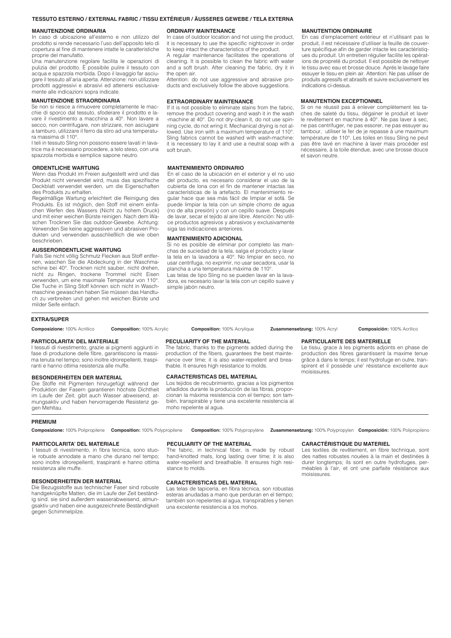#### **TESSUTO ESTERNO / EXTERNAL FABRIC / TISSU EXTÉRIEUR / ÄUSSERES GEWEBE / TELA EXTERNA**

#### **MANUTENZIONE ORDINARIA**

In caso di ubicazione all'esterno e non utilizzo del prodotto si rende necessario l'uso dell'apposito telo di copertura al fine di mantenere intatte le caratteristiche proprie del manufatto.

Una manutenzione regolare facilita le operazioni di pulizia del prodotto. È possibile pulire il tessuto con acqua e spazzola morbida. Dopo il lavaggio far asciugare il tessuto all'aria aperta. Attenzione: non utilizzare prodotti aggressivi e abrasivi ed attenersi esclusivamente alle indicazioni sopra indicate.

#### **MANUTENZIONE STRAORDINARIA**

Se non si riesce a rimuovere completamente le macchie di sporco dal tessuto, sfoderare il prodotto e lavare il rivestimento a macchina a 40°. Non lavare a secco, non centrifugare, non strizzare, non asciugare a tamburo, utilizzare il ferro da stiro ad una temperatura massima di 110°.

I teli in tessuto Sling non possono essere lavati in lavatrice ma è necessario procedere, a telo steso, con una spazzola morbida e semplice sapone neutro.

#### **ORDENTLICHE WARTUNG**

Wenn das Produkt im Freien aufgestellt wird und das Produkt nicht verwendet wird, muss das spezifische Deckblatt verwendet werden, um die Eigenschaften des Produkts zu erhalten.

Regelmäßige Wartung erleichtert die Reinigung des Produkts. Es ist möglich, den Stoff mit einem einfachen Werfen des Wassers (Nicht zu hohem Druck) und mit einer weichen Bürste reinigen. Nach dem Waschen Trocknen Sie das outdoor-Gewebe. Achtung: Verwenden Sie keine aggressiven und abrasiven Produkten und verwenden ausschließlich die wie oben beschrieben.

#### **AUSSERORDENTLICHE WARTUNG**

**PARTICOLARITA' DEL MATERIALE**

ranti e hanno ottima resistenza alle muffe.

**BESONDERHEITEN DER MATERIAL**

Falls Sie nicht völlig Schmutz Flecken aus Stoff entfernen, waschen Sie die Abdeckung in der Waschmaschine bei 40°. Trocknen nicht sauber, nicht drehen, nicht zu Ringen, trockene Trommel nicht Eisen verwenden, um eine maximale Temperatur von 110°. Die Tuche in Sling Stoff können sich nicht in Waschmaschine gewaschen haben Sie müssen das Handtuch zu verbreiten und gehen mit weichen Bürste und milder Seife einfach.

I tessuti di rivestimento, grazie ai pigmenti aggiunti in fase di produzione delle fibre, garantiscono la massima tenuta nel tempo; sono inoltre idrorepellenti, traspi-

Die Stoffe mit Pigmenten hinzugefügt während der Produktion der Fasern garantieren höchste Dichtheit im Laufe der Zeit; gibt auch Wasser abweisend, atmungsaktiv und haben hervorragende Resistenz ge-

#### **ORDINARY MAINTENANCE**

In case of outdoor location and not using the product, it is necessary to use the specific nightcover in order to keep intact the characteristics of the product.

A regular maintenance facilitates the operations of cleaning. It is possible to clean the fabric with water and a soft brush. After cleaning the fabric, dry it in the open air.

Attention: do not use aggressive and abrasive products and exclusively follow the above suggestions.

#### **EXTRAORDINARY MAINTENANCE**

If it is not possible to eliminate stains from the fabric, remove the product covering and wash it in the wash -machine at 40°. Do not dry-clean it, do not use spinning cycle, do not wring it. Mechanical drying is not allowed. Use iron with a maximum temperature of 110°. Sling fabrics cannot be washed with wash-machine: it is necessary to lay it and use a neutral soap with a soft brush.

#### **MANTENIMIENTO ORDINARIO**

En el caso de la ubicación en el exterior y el no uso del producto, es necesario considerar el uso de la cubierta de lona con el fin de mantener intactas las características de la artefacto. El mantenimiento regular hace que sea más fácil de limpiar el sofá. Se puede limpiar la tela con un simple chorro de agua (no de alta presión) y con un cepillo suave. Después de lavar, secar el tejido al aire libre. Atenciòn: No utilice productos agresivos y abrasivos y exclusivamente siga las indicaciones anteriores.

#### **MANTENIMIENTO ADICIONAL**

Si no es posible de eliminar por completo las manchas de suciedad de la tela, salga el producto y lavar la tela en la lavadora a 40°. No limpiar en seco, no usar centrífuga, no exprimir, no usar secadora, usar la plancha a una temperatura máxima de 110°.

Las telas de tipo Sling no se pueden lavar en la lavadora, es necesario lavar la tela con un cepillo suave y simple jabón neutro.

# **EXTRA/SUPER**

**Composizione:** 100% Acrillico **Composition:** 100% Acrylic **Composition:** 100% Acrylique **Zusammensetzung:** 100% Acryl **Composición:** 100% Acrílico

**PECULIARITY OF THE MATERIAL** The fabric, thanks to the pigments added during the production of the fibers, guarantees the best maintenance over time; it is also water-repellent and breathable. It ensures high resistance to molds.

#### **CARACTERISTICAS DEL MATERIAL**

Los tejidos de recubrimiento, gracias a los pigmentos añadidos durante la producción de las fibras, proporcionan la máxima resistencia con el tiempo; son también, transpirable y tiene una excelente resistencia al moho repelente al agua.

#### **PREMIUM**

gen Mehltau.

**Composizione:** 100% Polipropilene **Composition:** 100% Polypropilene **Composition:** 100% Polypropylène **Zusammensetzung:** 100% Polypropylen **Composición:** 100% Polipropileno

#### **PARTICOLARITA' DEL MATERIALE**

I tessuti di rivestimento, in fibra tecnica, sono stuoie robuste annodate a mano che durano nel tempo; sono inoltre idrorepellenti, traspiranti e hanno ottima resistenza alle muffe.

#### **BESONDERHEITEN DER MATERIAL**

Die Bezugsstoffe aus technischer Faser sind robuste handgeknüpfte Matten, die im Laufe der Zeit beständig sind. sie sind außerdem wasserabweisend, atmungsaktiv und haben eine ausgezeichnete Beständigkeit gegen Schimmelpilze.

#### **PECULIARITY OF THE MATERIAL**

The fabric, in technical fiber, is made by robust hand-knotted mats, long lasting over time; it is also water-repellent and breathable. It ensures high resistance to molds.

#### **CARACTERISTICAS DEL MATERIAL**

Las telas de tapicería, en fibra técnica, son robustas esteras anudadas a mano que perduran en el tiempo; también son repelentes al agua, transpirables y tienen una excelente resistencia a los mohos.

#### **MANUTENTION ORDINAIRE**

En cas d'emplacement extérieur et n'utilisant pas le produit, il est nécessaire d'utiliser la feuille de couverture spécifique afin de garder intacte les caractéristiques du produit. Un entretien régulier facilite les opérations de propreté du produit. Il est possible de nettoyer le tissu avec eau et brosse douce. Aprés le lavage faire essuyer le tissu en plein air. Attention: Ne pas utiliser de produits agressifs et abrasifs et suivre exclusivement les indications ci-dessus.

#### **MANUTENTION EXCEPTIONNEL**

Si on ne réussit pas à enlever complètement les taches de saleté du tissu, dégainer le produit et laver le revêtement en machine à 40°. Ne pas laver à sec, ne pas centrifuger, ne pas essorer, ne pas essuyer au tambour, utiliser le fer de je repasse à une maximum température de 110°. Les toiles en tissu Sling ne peut pas être lavé en machine à laver mais procéder est nécessaire, à la toile étendue, avec une brosse douce et savon neutre.

# **CARACTÉRISTIQUE DU MATERIEL**

**PARTICULARITE DES MATERIELLE**

moisissures.

Le tissu, grace à les pigments adjoints en phase de production des fibres garantissent la maxime tenue grâce à dans le temps; il est hydrofuge en outre, transpirent et il possède une' résistance excellente aux

Les textiles de revêtement, en fibre technique, sont des nattes robustes nouées à la main et destinées à durer longtemps; ils sont en outre hydrofuges, perméables à l'air, et ont une parfaite résistance aux moisissures.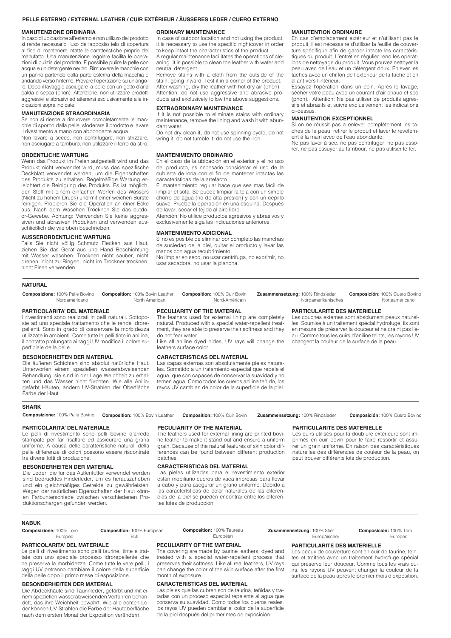#### **PELLE ESTERNO / EXTERNAL LEATHER / CUIR EXTÉRIEUR / ÄUSSERES LEDER / CUERO EXTERNO**

#### **MANUTENZIONE ORDINARIA**

In caso di ubicazione all'esterno e non utilizzo del prodotto si rende necessario l'uso dell'apposito telo di copertura al fine di mantenere intatte le caratteristiche proprie del manufatto. Una manutenzione regolare facilita le operazioni di pulizia del prodotto. È possibile pulire la pelle con acqua e un detergente neutro. Rimuovere le macchie con un panno partendo dalla parte esterna della macchia e andando verso l'interno. Provare l'operazione su un'angolo. Dopo il lavaggio asciugare la pelle con un getto d'aria calda e secca (phon). Attenzione: non utilizzare prodotti aggressivi e abrasivi ed attenersi esclusivamente alle indicazioni sopra indicate.

#### **MANUTENZIONE STRAORDINARIA**

Se non si riesce a rimuovere completamente le macchie di sporco dalla pelle, sfoderare il prodotto e lavare il rivestimento a mano con abbondante acqua. Non lavare a secco, non centrifugare, non strizzare,

non asciugare a tamburo, non utilizzare il ferro da stiro.

# **ORDENTLICHE WARTUNG**

Wenn das Produkt im Freien aufgestellt wird und das Produkt nicht verwendet wird, muss das spezifische Deckblatt verwendet werden, um die Eigenschaften des Produkts zu erhalten. Regelmäßige Wartung erleichtert die Reinigung des Produkts. Es ist möglich, den Stoff mit einem einfachen Werfen des Wassers (Nicht zu hohem Druck) und mit einer weichen Bürste reinigen. Probieren Sie die Operation an einer Ecke aus. Nach dem Waschen Trocknen Sie das outdoor-Gewebe. Achtung: Verwenden Sie keine aggressiven und abrasiven Produkten und verwenden ausschließlich die wie oben beschrieben.

#### **AUSSERORDENTLICHE WARTUNG**

Falls Sie nicht völlig Schmutz Flecken aus Haut, ziehen Sie das Gerät aus und Hand Beschichtung mit Wasser waschen. Trocknen nicht sauber, nicht drehen, nicht zu Ringen, nicht im Trockner trocknen, nicht Eisen verwenden.

#### **ORDINARY MAINTENANCE**

In case of outdoor location and not using the product, it is necessary to use the specific nightcover in order to keep intact the characteristics of the product.

A regular maintenance facilitates the operations of cleaning. It is possible to clean the leather with water and neutral detergent.

Remove stains with a cloth from the outside of the stain, going inward. Test it in a corner of the product. After washing, dry the leather with hot dry air (phon). Attention: do not use aggressive and abrasive products and exclusively follow the above suggestions.

#### **EXTRAORDINARY MAINTENANCE**

If it is not possible to eliminate stains with ordinary maintenance, remove the lining and wash it with abundant water.

Do not dry-clean it, do not use spinning cycle, do not wring it, do not tumble it, do not use the iron.

#### **MANTENIMIENTO ORDINARIO**

En el caso de la ubicación en el exterior y el no uso del producto, es necesario considerar el uso de la cubierta de lona con el fin de mantener intactas las características de la artefacto.

El mantenimiento regular hace que sea más fácil de limpiar el sofá. Se puede limpiar la tela con un simple chorro de agua (no de alta presión) y con un cepillo suave. Pruebe la operación en una esquina. Después de lavar, secar el tejido al aire libre.

Atenciòn: No utilice productos agresivos y abrasivos y exclusivamente siga las indicaciones anteriores.

#### **MANTENIMIENTO ADICIONAL**

Si no es posible de eliminar por completo las manchas de suciedad de la piel, quitar el producto y lavar las manos con agua recubrimiento. No limpiar en seco, no usar centrífuga, no exprimir, no usar secadora, no usar la plancha.

# **MANUTENTION ORDINAIRE**

En cas d'emplacement extérieur et n'utilisant pas le produit, il est nécessaire d'utiliser la feuille de couverture spécifique afin de garder intacte les caractéristiques du produit. L'entretien régulier rend les opérations de nettoyage du produit. Vous pouvez nettoyer la peau avec de l'eau et un détergent doux. Enlever les taches avec un chiffon de l'extérieur de la tache et en allant vers l'intérieur.

Essayez l'opération dans un coin. Après le lavage, sécher votre peau avec un courant d'air chaud et sec (phon). Attention: Ne pas utiliser de produits agressifs et abrasifs et suivre exclusivement les indications ci-dessus.

#### **MANUTENTION EXCEPTIONNEL**

Si on ne réussit pas à enlever complètement les taches de la peau, retirer le produit et laver le revêtement à la main avec de l'eau abondante.

Ne pas laver à sec, ne pas centrifuger, ne pas essorer, ne pas essuyer au tambour, ne pas utiliser le fer.

#### **NATURAL**

**Composizione:** 100% Pelle Bovino **Composition:** 100% Bovin Leather

 North American Nordamericano

#### **PARTICOLARITA' DEL MATERIALE**

I rivestimenti sono realizzati in pelli naturali. Sottoposte ad uno speciale trattamento che le rende idrorepellenti. Sono in grado di conservare la morbidezza utilizzate in ambienti. Come tutte le pelli tinte in anilina, il contatto prolungato ai raggi UV modifica il colore superficiale della pelle.

#### **BESONDERHEITEN DER MATERIAL**

Die äußeren Schichten sind absolut natürliche Haut. Unterworfen einem speziellen wasserabweisenden Behandlung, sie sind in der Lage Weichheit zu erhalten und das Wasser nicht fürchten. Wie alle Anilingefärbt Häuten, ändern UV-Strahlen der Oberfläche Farbe der Haut.

**PECULIARITY OF THE MATERIAL**

**Composition:** 100% Cuir Bovin

The leathers used for external lining are completely natural. Produced with a special water-repellent treatment, they are able to preserve their softness and they do not fear water.

Nord-Américain

Like all aniline dyed hides, UV rays will change the leathers surface color.

#### **CARACTERISTICAS DEL MATERIAL**

Las capas externas son absolutamente pieles naturales. Sometido a un tratamiento especial que repele el agua, que son capaces de conservar la suavidad y no temen agua. Como todos los cueros anilina teñido, los rayos UV cambian de color de la superficie de la piel.

**Zusammensetzung:** 100% Rindsleder

**Composición:** 100% Cuero Bovino Norteamericano

# **PARTICULARITE DES MATERIELLE**

Nordamerikanisches

Les couches externes sont absolument peaux naturelles. Soumise à un traitement spécial hydrofuge, ils sont en mesure de préserver la douceur et ne craint pas l'eau. Comme tous les cuirs d'aniline teints, les rayons UV changent la couleur de la surface de la peau.

**Zusammensetzung:** 100% Rindsleder **Composition:** 100% Cuir Bovin

**Composición:** 100% Cuero Bovino

# **PARTICOLARITA' DEL MATERIALE**

Le pelli di rivestimento sono pelli bovine d'arredo stampate per far risaltare ed assicurare una grana uniforme. A causa delle caratteristiche naturali della pelle differenze di colori possono essere riscontrate tra diversi lotti di produzione.

Composizione: 100% Pelle Bovino Composition: 100% Bovin Leather

# **BESONDERHEITEN DER MATERIAL**

Die Leder, die für das Außenfutter verwendet werden sind bedrucktes Rinderleder, um es herauszuheben und ein gleichmäßiges Getreide zu gewährleisten. Wegen der natürlichen Eigenschaften der Haut können Farbunterschiede zwischen verschiedenen Produktionschargen gefunden werden.

#### **PECULIARITY OF THE MATERIAL**

The leathers used for external lining are printed bovine leather to make it stand out and ensure a uniform grain. Because of the natural features of skin color differences can be found between different production batches.

Las pieles utilizadas para el revestimiento exterior están mobiliario cueros de vaca impresas para llevar a cabo y para asegurar un grano uniforme. Debido a las características de color naturales de las diferencias de la piel se pueden encontrar entre los diferentes lotes de producción.

## **PARTICULARITE DES MATERIELLE**

Les cuirs utilisés pour la doublure extérieure sont imprimés en cuir bovin pour le faire ressortir et assurer un grain uniforme. En raison des caractéristiques naturelles des différences de couleur de la peau, on peut trouver différents lots de production.

### **NABUK**

**SHARK**

| <b>BABTIONLABITALBEL MATERIALE</b> |                                   | <b>BEAULIABEV AF TUE MATERIAL</b> |                             |                        |
|------------------------------------|-----------------------------------|-----------------------------------|-----------------------------|------------------------|
| Europeo                            | Bul                               | Européen                          | Europäischer                | Europeo                |
| <b>Composizione: 100% Toro</b>     | <b>Composition: 100% European</b> | <b>Composition: 100% Taureau</b>  | Zusammensetzung: 100% Stier | Composición: 100% Toro |

#### **PARTICOLARITA' DEL MATERIALE**

Le pelli di rivestimento sono pelli taurine, tinte e trattate con uno speciale processo idrorepellente che ne preserva la morbidezza. Come tutte le vere pelli, i raggi UV potranno cambiare il colore della superficie della pelle dopo il primo mese di esposizione.

# **BESONDERHEITEN DER MATERIAL**

Die Abdeckhäute sind Taurinleder, gefärbt und mit einem speziellen wasserabweisenden Verfahren behandelt, das ihre Weichheit bewahrt. Wie alle echten Leder können UV-Strahlen die Farbe der Hautoberfläche nach dem ersten Monat der Exposition verändern.

#### **PECULIARITY OF THE MATERIAL** The covering are made by taurine leathers, dyed and

treated with a special water-repellent process that preserves their softness. Like all real leathers, UV rays can change the color of the skin surface after the first month of exposure.

### **CARACTERISTICAS DEL MATERIAL**

Las pieles que las cubren son de taurina, teñidas y tratadas con un proceso especial repelente al agua que conserva su suavidad. Como todos los cueros reales, los rayos UV pueden cambiar el color de la superficie de la piel después del primer mes de exposición.

#### **PARTICULARITE DES MATERIELLE**

Les peaux de couverture sont en cuir de taurine, teintes et traitées avec un traitement hydrofuge spécial qui préserve leur douceur. Comme tous les vrais cuirs, les rayons UV peuvent changer la couleur de la surface de la peau après le premier mois d'exposition.

**CARACTERISTICAS DEL MATERIAL**